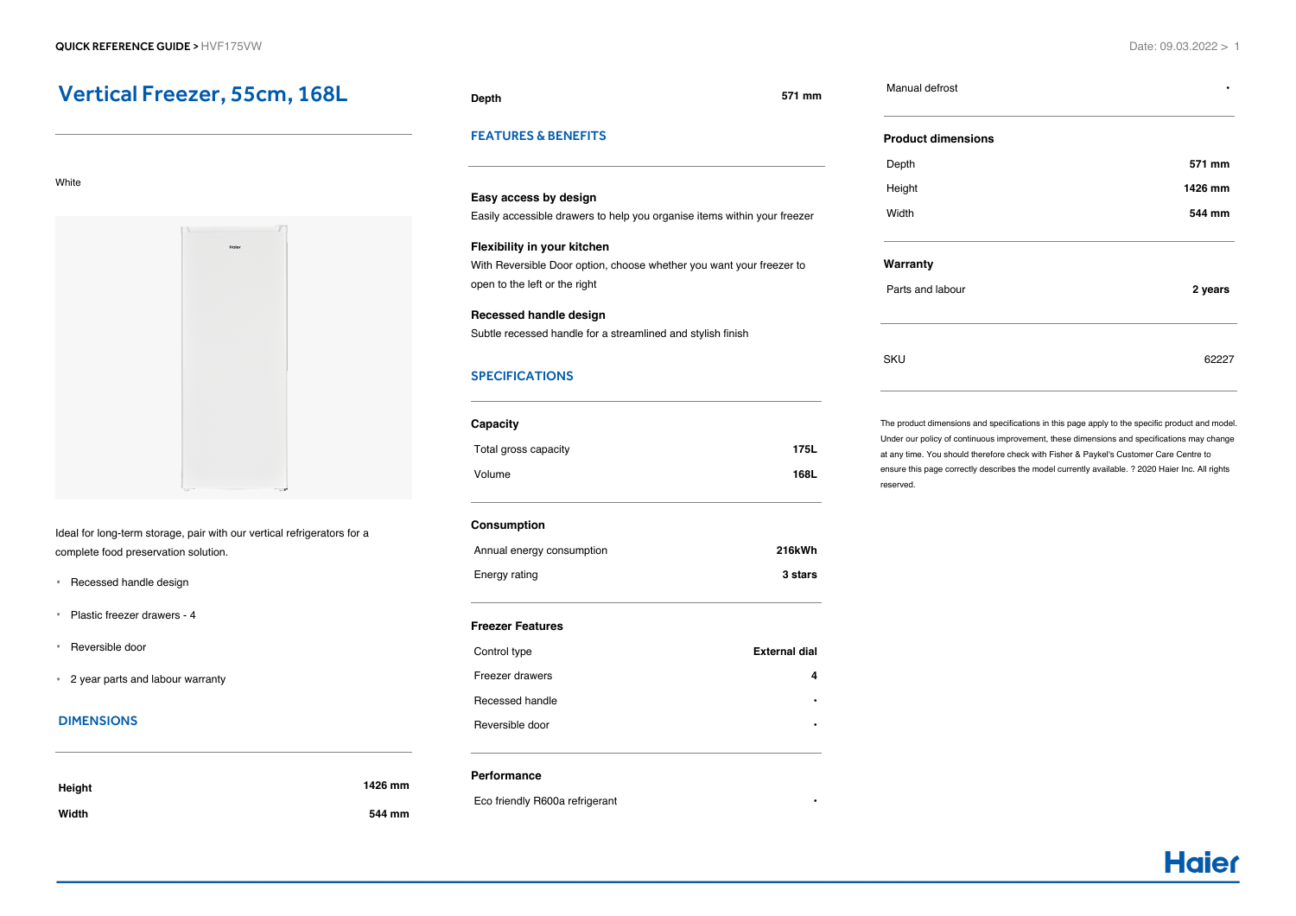# Vertical Freezer, 55cm, 168L

#### White



Ideal for long-term storage, pair with our vertical refrigerators for a complete food preservation solution.

- Recessed handle design
- Plastic freezer drawers 4
- Reversible door
- 2 year parts and labour warranty

# DIMENSIONS

| Height | 1426 mm |
|--------|---------|
| Width  | 544 mm  |

#### **Depth 571 mm**

Manual defrost **•**

# FEATURES & BENEFITS

**Easy access by design** Easily accessible drawers to help you organise items within your freezer **Flexibility in your kitchen** With Reversible Door option, choose whether you want your freezer to open to the left or the right

**Recessed handle design** Subtle recessed handle for a streamlined and stylish finish

# **SPECIFICATIONS**

| Capacity             |      |
|----------------------|------|
| Total gross capacity | 175L |
| Volume               | 168L |

# **Consumption**

| Annual energy consumption | 216kWh  |
|---------------------------|---------|
| Energy rating             | 3 stars |

# **Freezer Features**

| Control type    | External dial |
|-----------------|---------------|
| Freezer drawers |               |
| Recessed handle | ٠             |
| Reversible door | ٠             |

# **Performance**

Eco friendly R600a refrigerant **•**

| <b>Product dimensions</b> |         |
|---------------------------|---------|
| Depth                     | 571 mm  |
| Height                    | 1426 mm |
| Width                     | 544 mm  |
|                           |         |
| Warranty                  |         |

The product dimensions and specifications in this page apply to the specific product and model. Under our policy of continuous improvement, these dimensions and specifications may change at any time. You should therefore check with Fisher & Paykel's Customer Care Centre to ensure this page correctly describes the model currently available. ? 2020 Haier Inc. All rights reserved.

SKU 62227